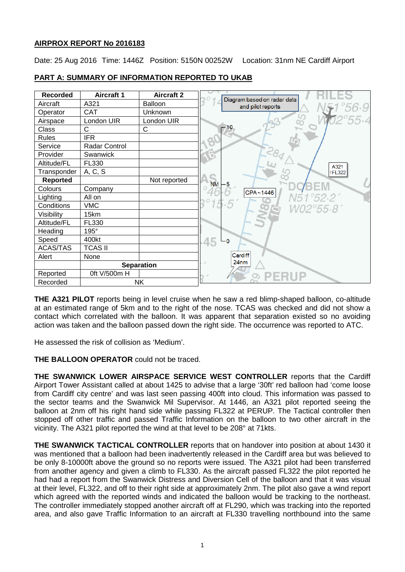## **AIRPROX REPORT No 2016183**

Date: 25 Aug 2016 Time: 1446Z Position: 5150N 00252W Location: 31nm NE Cardiff Airport

| <b>Recorded</b> | <b>Aircraft 1</b> | <b>Aircraft 2</b> |
|-----------------|-------------------|-------------------|
| Aircraft        | A321              | Balloon           |
| Operator        | <b>CAT</b>        | Unknown           |
| Airspace        | London UIR        | London UIR        |
| Class           | C                 | C                 |
| <b>Rules</b>    | <b>IFR</b>        |                   |
| Service         | Radar Control     |                   |
| Provider        | Swanwick          |                   |
| Altitude/FL     | FL330             |                   |
| Transponder     | A, C, S           |                   |
| Reported        |                   | Not reported      |
| Colours         | Company           |                   |
| Lighting        | All on            |                   |
| Conditions      | <b>VMC</b>        |                   |
| Visibility      | 15km              |                   |
| Altitude/FL     | FL330             |                   |
| Heading         | 195°              |                   |
| Speed           | 400kt             |                   |
| <b>ACAS/TAS</b> | <b>TCAS II</b>    |                   |
| Alert           | None              |                   |
|                 |                   | <b>Separation</b> |
| Reported        | 0ft V/500m H      |                   |
| Recorded        |                   | <b>NK</b>         |

# **PART A: SUMMARY OF INFORMATION REPORTED TO UKAB**

**THE A321 PILOT** reports being in level cruise when he saw a red blimp-shaped balloon, co-altitude at an estimated range of 5km and to the right of the nose. TCAS was checked and did not show a contact which correlated with the balloon. It was apparent that separation existed so no avoiding action was taken and the balloon passed down the right side. The occurrence was reported to ATC.

He assessed the risk of collision as 'Medium'.

**THE BALLOON OPERATOR** could not be traced.

**THE SWANWICK LOWER AIRSPACE SERVICE WEST CONTROLLER** reports that the Cardiff Airport Tower Assistant called at about 1425 to advise that a large '30ft' red balloon had 'come loose from Cardiff city centre' and was last seen passing 400ft into cloud. This information was passed to the sector teams and the Swanwick Mil Supervisor. At 1446, an A321 pilot reported seeing the balloon at 2nm off his right hand side while passing FL322 at PERUP. The Tactical controller then stopped off other traffic and passed Traffic Information on the balloon to two other aircraft in the vicinity. The A321 pilot reported the wind at that level to be 208° at 71kts.

**THE SWANWICK TACTICAL CONTROLLER** reports that on handover into position at about 1430 it was mentioned that a balloon had been inadvertently released in the Cardiff area but was believed to be only 8-10000ft above the ground so no reports were issued. The A321 pilot had been transferred from another agency and given a climb to FL330. As the aircraft passed FL322 the pilot reported he had had a report from the Swanwick Distress and Diversion Cell of the balloon and that it was visual at their level, FL322, and off to their right side at approximately 2nm. The pilot also gave a wind report which agreed with the reported winds and indicated the balloon would be tracking to the northeast. The controller immediately stopped another aircraft off at FL290, which was tracking into the reported area, and also gave Traffic Information to an aircraft at FL330 travelling northbound into the same